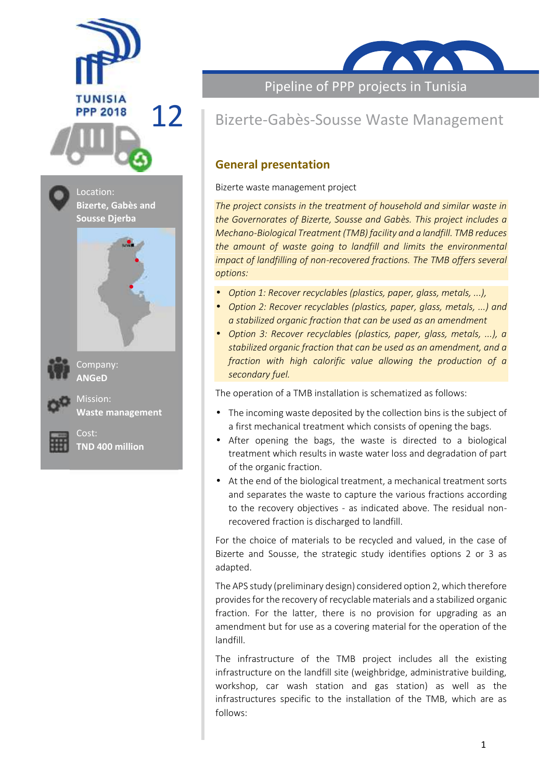





Company: **ANGeD**

Mission: **Waste management**



Cost: **TND 400 million** **TAVAT** 

Pipeline of PPP projects in Tunisia

# 12 Bizerte-Gabès-Sousse Waste Management

## **General presentation**

#### **Bizerte waste management project**

*The project consists in the treatment of household and similar waste in the Governorates of Bizerte, Sousse and Gabès. This project includes a Mechano-Biological Treatment (TMB) facility and a landfill. TMB reduces the amount of waste going to landfill and limits the environmental impact of landfilling of non-recovered fractions. The TMB offers several options:*

- *Option 1: Recover recyclables (plastics, paper, glass, metals, ...),*
- *Option 2: Recover recyclables (plastics, paper, glass, metals, ...) and a stabilized organic fraction that can be used as an amendment*
- *Option 3: Recover recyclables (plastics, paper, glass, metals, ...), a stabilized organic fraction that can be used as an amendment, and a fraction with high calorific value allowing the production of a secondary fuel.*

The operation of a TMB installation is schematized as follows:

- The incoming waste deposited by the collection bins is the subject of a first mechanical treatment which consists of opening the bags.
- After opening the bags, the waste is directed to a biological treatment which results in waste water loss and degradation of part of the organic fraction.
- At the end of the biological treatment, a mechanical treatment sorts and separates the waste to capture the various fractions according to the recovery objectives - as indicated above. The residual non recovered fraction is discharged to landfill.

For the choice of materials to be recycled and valued, in the case of Bizerte and Sousse, the strategic study identifies options 2 or 3 as adapted.

The APS study (preliminary design) considered option 2, which therefore provides for the recovery of recyclable materials and a stabilized organic fraction. For the latter, there is no provision for upgrading as an amendment but for use as a covering material for the operation of the landfill.

The infrastructure of the TMB project includes all the existing infrastructure on the landfill site (weighbridge, administrative building, workshop, car wash station and gas station) as well as the infrastructures specific to the installation of the TMB, which are as follows: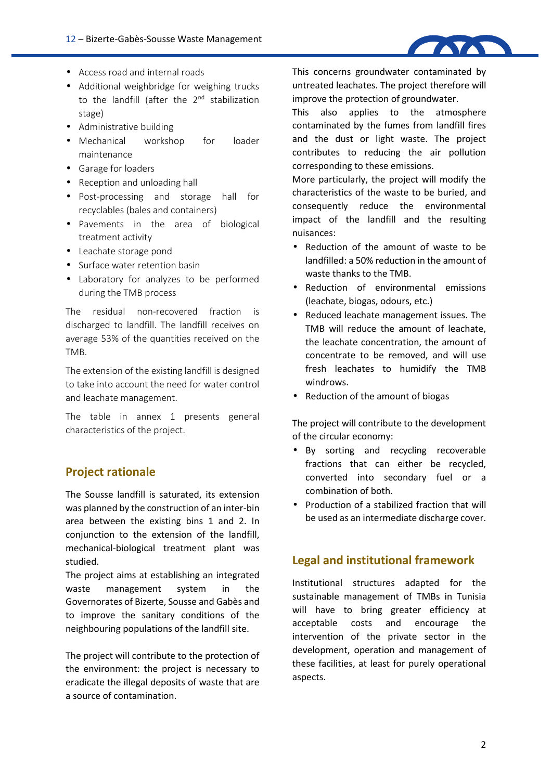

- Access road and internal roads
- Additional weighbridge for weighing trucks to the landfill (after the 2<sup>nd</sup> stabilization stage)
- Administrative building
- Mechanical workshop for loader maintenance
- Garage for loaders
- Reception and unloading hall
- Post-processing and storage hall for recyclables (bales and containers)
- Pavements in the area of biological treatment activity
- Leachate storage pond
- Surface water retention basin
- Laboratory for analyzes to be performed during the TMB process

The residual non-recovered fraction is discharged to landfill. The landfill receives on average 53% of the quantities received on the TMB.

The extension of the existing landfill is designed to take into account the need for water control and leachate management.

The table in annex 1 presents general characteristics of the project.

# **Project rationale**

The Sousse landfill is saturated, its extension was planned by the construction of an inter-bin area between the existing bins 1 and 2. In conjunction to the extension of the landfill, mechanical-biological treatment plant was studied.

The project aims at establishing an integrated waste management system in the Governorates of Bizerte, Sousse and Gabès and to improve the sanitary conditions of the will have neighbouring populations of the landfill site.

The project will contribute to the protection of the environment: the project is necessary to eradicate the illegal deposits of waste that are a source of contamination.

This concerns groundwater contaminated by untreated leachates. The project therefore will improve the protection of groundwater.

This also applies to the atmosphere contaminated by the fumes from landfill fires and the dust or light waste. The project contributes to reducing the air pollution corresponding to these emissions.

More particularly, the project will modify the characteristics of the waste to be buried, and consequently reduce the environmental impact of the landfill and the resulting nuisances:

- Reduction of the amount of waste to be landfilled: a 50% reduction in the amount of waste thanks to the TMB.
- Reduction of environmental emissions (leachate, biogas, odours, etc.)
- Reduced leachate management issues. The TMB will reduce the amount of leachate, the leachate concentration, the amount of concentrate to be removed, and will use fresh leachates to humidify the TMB windrows.
- Reduction of the amount of biogas

The project will contribute to the development of the circular economy:

- By sorting and recycling recoverable fractions that can either be recycled, converted into secondary fuel or a combination of both.
- Production of a stabilized fraction that will be used as an intermediate discharge cover.

### **Legal and institutional framework**

Institutional structures adapted for the sustainable management of TMBs in Tunisia will have to bring greater efficiency at costs and encourage the intervention of the private sector in the development, operation and management of these facilities, at least for purely operational aspects.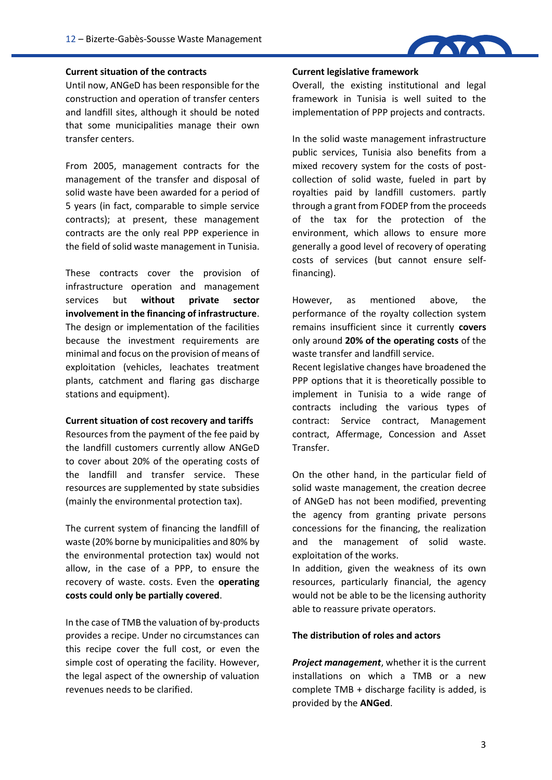

#### **Current situation of the contracts**

Until now, ANGeD has been responsible for the construction and operation of transfer centers and landfill sites, although it should be noted that some municipalities manage their own transfer centers.

From 2005, management contracts for the management of the transfer and disposal of solid waste have been awarded for a period of 5 years (in fact, comparable to simple service contracts); at present, these management contracts are the only real PPP experience in the field of solid waste management in Tunisia.

These contracts cover the provision of infrastructure operation and management services but **without private sector involvement in the financing of infrastructure**. The design or implementation of the facilities because the investment requirements are minimal and focus on the provision of means of exploitation (vehicles, leachates treatment plants, catchment and flaring gas discharge stations and equipment).

#### **Current situation of cost recovery and tariffs**

Resources from the payment of the fee paid by the landfill customers currently allow ANGeD to cover about 20% of the operating costs of the landfill and transfer service. These resources are supplemented by state subsidies (mainly the environmental protection tax).

The current system of financing the landfill of waste (20% borne by municipalities and 80% by the environmental protection tax) would not allow, in the case of a PPP, to ensure the recovery of waste. costs. Even the **operating costs could only be partially covered**.

In the case of TMB the valuation of by-products provides a recipe. Under no circumstances can this recipe cover the full cost, or even the simple cost of operating the facility. However, the legal aspect of the ownership of valuation revenues needs to be clarified.

#### **Current legislative framework**

Overall, the existing institutional and legal framework in Tunisia is well suited to the implementation of PPP projects and contracts.

In the solid waste management infrastructure public services, Tunisia also benefits from a mixed recovery system for the costs of post collection of solid waste, fueled in part by royalties paid by landfill customers. partly through a grant from FODEP from the proceeds of the tax for the protection of the environment, which allows to ensure more generally a good level of recovery of operating costs of services (but cannot ensure selffinancing).

However, as mentioned above, the performance of the royalty collection system remains insufficient since it currently **covers** only around **20% of the operating costs** of the waste transfer and landfill service.

Recent legislative changes have broadened the PPP options that it is theoretically possible to implement in Tunisia to a wide range of contracts including the various types of contract: Service contract, Management contract, Affermage, Concession and Asset Transfer.

On the other hand, in the particular field of solid waste management, the creation decree of ANGeD has not been modified, preventing the agency from granting private persons concessions for the financing, the realization and the management of solid waste. exploitation of the works.

In addition, given the weakness of its own resources, particularly financial, the agency would not be able to be the licensing authority able to reassure private operators.

#### **The distribution of roles and actors**

*Project management*, whether it is the current installations on which a TMB or a new complete TMB + discharge facility is added, is provided by the **ANGed**.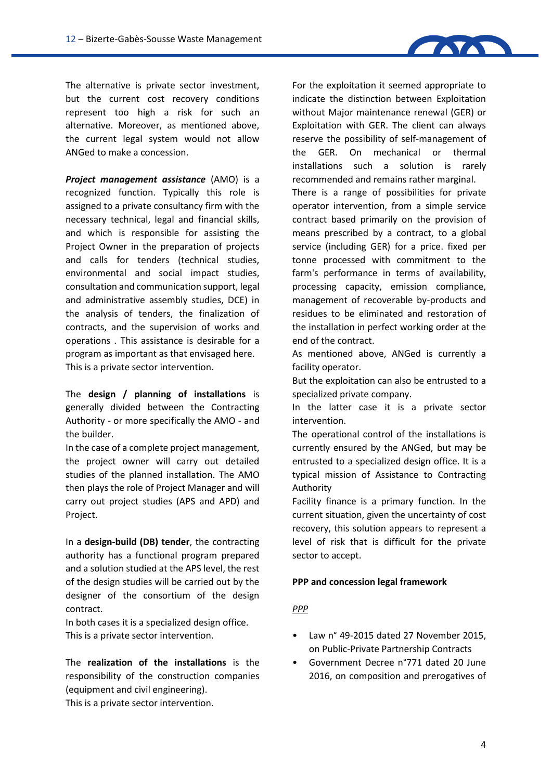

The alternative is private sector investment, but the current cost recovery conditions represent too high a risk for such an alternative. Moreover, as mentioned above, the current legal system would not allow ANGed to make a concession.

*Project management assistance* (AMO) is a recognized function. Typically this role is assigned to a private consultancy firm with the necessary technical, legal and financial skills, and which is responsible for assisting the Project Owner in the preparation of projects and calls for tenders (technical studies, environmental and social impact studies, consultation and communication support, legal and administrative assembly studies, DCE) in the analysis of tenders, the finalization of contracts, and the supervision of works and operations . This assistance is desirable for a program as important as that envisaged here. This is a private sector intervention.

The **design / planning of installations** is generally divided between the Contracting Authority - or more specifically the AMO - and the builder.

In the case of a complete project management, the project owner will carry out detailed studies of the planned installation. The AMO then plays the role of Project Manager and will carry out project studies (APS and APD) and Project.

In a **design-build (DB) tender**, the contracting authority has a functional program prepared and a solution studied at the APS level, the rest of the design studies will be carried out by the designer of the consortium of the design contract.

In both cases it is a specialized design office. This is a private sector intervention.

The **realization of the installations** is the responsibility of the construction companies (equipment and civil engineering).

This is a private sector intervention.

For the exploitation it seemed appropriate to indicate the distinction between Exploitation without Major maintenance renewal (GER) or Exploitation with GER. The client can always reserve the possibility of self-management of the GER. On mechanical or thermal installations such a solution is rarely recommended and remains rather marginal. There is a range of possibilities for private operator intervention, from a simple service contract based primarily on the provision of means prescribed by a contract, to a global

service (including GER) for a price. fixed per tonne processed with commitment to the farm's performance in terms of availability, processing capacity, emission compliance, management of recoverable by-products and residues to be eliminated and restoration of the installation in perfect working order at the end of the contract.

As mentioned above, ANGed is currently a facility operator.

But the exploitation can also be entrusted to a specialized private company.

In the latter case it is a private sector intervention.

The operational control of the installations is currently ensured by the ANGed, but may be entrusted to a specialized design office. It is a typical mission of Assistance to Contracting Authority

Facility finance is a primary function. In the current situation, given the uncertainty of cost recovery, this solution appears to represent a level of risk that is difficult for the private sector to accept.

#### **PPP and concession legal framework**

### *PPP*

- Law n° 49-2015 dated 27 November 2015, on Public-Private Partnership Contracts
- Government Decree n°771 dated 20 June 2016, on composition and prerogatives of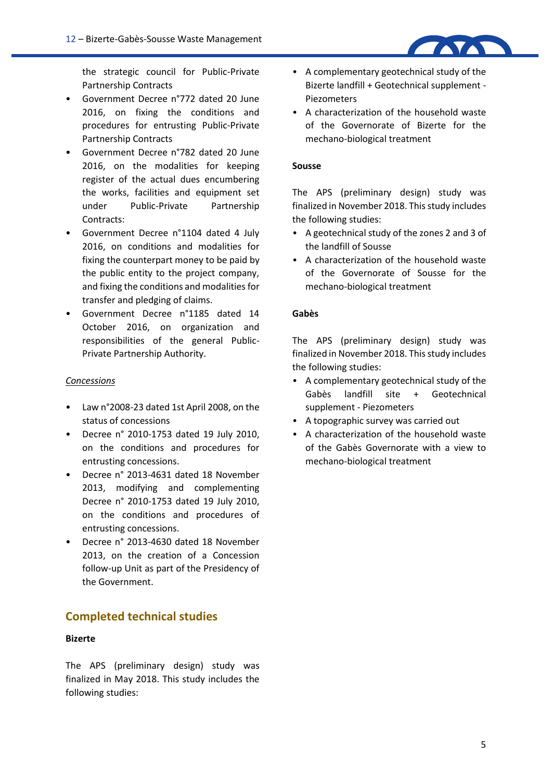the strategic council for Public-Private Partnership Contracts

- Government Decree n°772 dated 20 June 2016, on fixing the conditions and procedures for entrusting Public-Private Partnership Contracts
- Government Decree n°782 dated 20 June 2016, on the modalities for keeping register of the actual dues encumbering the works, facilities and equipment set under Public-Private Partnership Contracts:
- Government Decree n°1104 dated 4 July 2016, on conditions and modalities for fixing the counterpart money to be paid by the public entity to the project company, and fixing the conditions and modalities for transfer and pledging of claims.
- Government Decree n°1185 dated 14 October 2016, on organization and responsibilities of the general Public- Private Partnership Authority.

#### *Concessions*

- Law n°2008-23 dated 1st April 2008, on the status of concessions
- Decree n° 2010-1753 dated 19 July 2010, on the conditions and procedures for entrusting concessions.
- Decree n° 2013-4631 dated 18 November 2013, modifying and complementing Decree n° 2010-1753 dated 19 July 2010, on the conditions and procedures of entrusting concessions.
- Decree n° 2013-4630 dated 18 November 2013, on the creation of a Concession follow-up Unit as part of the Presidency of the Government.

### **Completed technical studies**

### **Bizerte**

The APS (preliminary design) study was finalized in May 2018. This study includes the following studies:

- A complementary geotechnical study of the Bizerte landfill + Geotechnical supplement - Piezometers
- A characterization of the household waste of the Governorate of Bizerte for the mechano-biological treatment

#### **Sousse**

The APS (preliminary design) study was finalized in November 2018. This study includes the following studies:

- A geotechnical study of the zones 2 and 3 of the landfill of Sousse
- A characterization of the household waste of the Governorate of Sousse for the mechano-biological treatment

#### **Gabès**

The APS (preliminary design) study was finalized in November 2018. This study includes the following studies:

- A complementary geotechnical study of the Gabès landfill site + Geotechnical supplement - Piezometers
- A topographic survey was carried out
- A characterization of the household waste of the Gabès Governorate with a view to mechano-biological treatment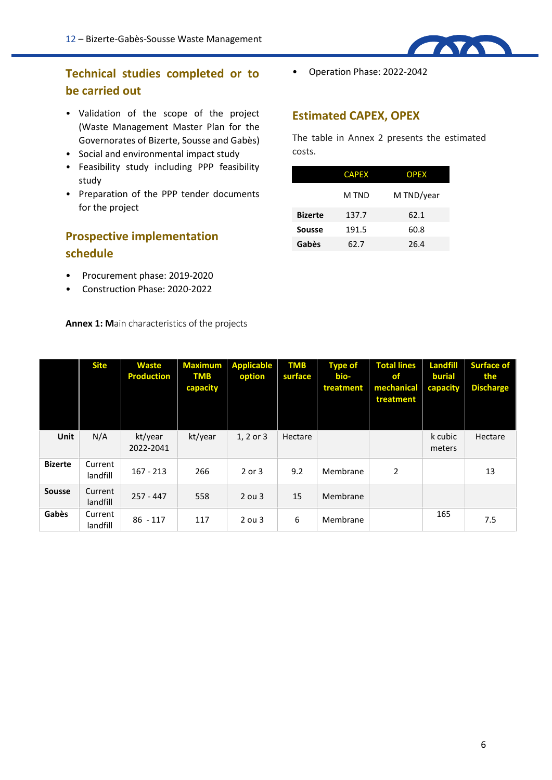# **Technical studies completed or to be carried out**

- Validation of the scope of the project (Waste Management Master Plan for the Governorates of Bizerte, Sousse and Gabès)
- Social and environmental impact study
- Feasibility study including PPP feasibility study
- Preparation of the PPP tender documents for the project

# **Prospective implementation schedule**

- Procurement phase: 2019-2020
- Construction Phase: 2020-2022

**Annex 1: Main characteristics of the projects**

• Operation Phase: 2022-2042

### **Estimated CAPEX, OPEX**

The table in Annex 2 presents the estimated costs.

**TAYAT** 

|                | <b>CAPEX</b> | <b>OPEX</b> |  |  |
|----------------|--------------|-------------|--|--|
|                | M TND        | M TND/year  |  |  |
| <b>Bizerte</b> | 137.7        | 62.1        |  |  |
| <b>Sousse</b>  | 191.5        | 60.8        |  |  |
| Gabès          | 62.7         | 26.4        |  |  |

|                | <b>Site</b>         | <b>Waste</b><br><b>Production</b> | <b>Maximum</b><br><b>TMB</b><br>capacity | <b>Applicable</b><br>option | <b>TMB</b><br>surface | <b>Type of</b><br>bio-<br>treatment | <b>Total lines</b><br>of.<br>mechanical<br>treatment | <b>Landfill</b><br><b>burial</b><br>capacity | <b>Surface of</b><br>the<br><b>Discharge</b> |
|----------------|---------------------|-----------------------------------|------------------------------------------|-----------------------------|-----------------------|-------------------------------------|------------------------------------------------------|----------------------------------------------|----------------------------------------------|
| <b>Unit</b>    | N/A                 | kt/year<br>2022-2041              | kt/year                                  | 1, 2 or 3                   | Hectare               |                                     |                                                      | k cubic<br>meters                            | Hectare                                      |
| <b>Bizerte</b> | Current<br>landfill | $167 - 213$                       | 266                                      | 2 or 3                      | 9.2                   | Membrane                            | 2                                                    |                                              | 13                                           |
| <b>Sousse</b>  | Current<br>landfill | $257 - 447$                       | 558                                      | $2$ ou $3$                  | 15                    | Membrane                            |                                                      |                                              |                                              |
| Gabès          | Current<br>landfill | $86 - 117$                        | 117                                      | $2$ ou $3$                  | 6                     | Membrane                            |                                                      | 165                                          | 7.5                                          |